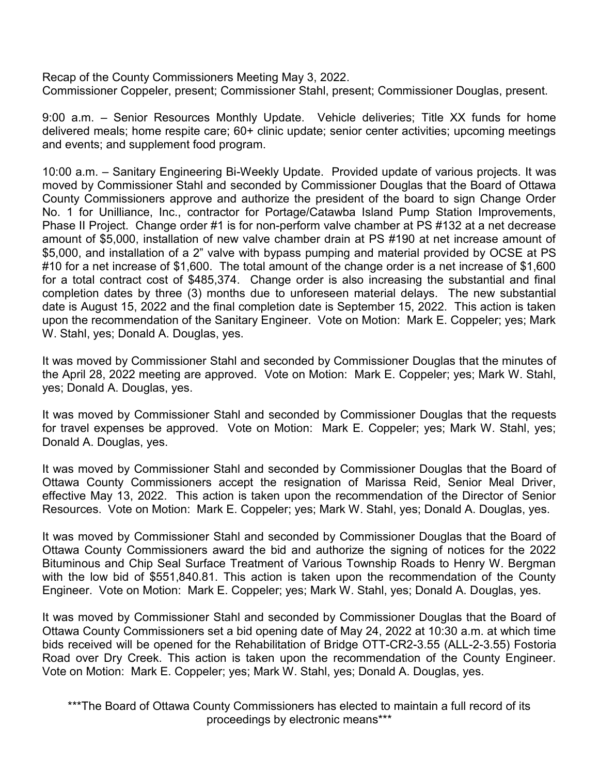Recap of the County Commissioners Meeting May 3, 2022. Commissioner Coppeler, present; Commissioner Stahl, present; Commissioner Douglas, present.

9:00 a.m. – Senior Resources Monthly Update. Vehicle deliveries; Title XX funds for home delivered meals; home respite care; 60+ clinic update; senior center activities; upcoming meetings and events; and supplement food program.

10:00 a.m. – Sanitary Engineering Bi-Weekly Update. Provided update of various projects. It was moved by Commissioner Stahl and seconded by Commissioner Douglas that the Board of Ottawa County Commissioners approve and authorize the president of the board to sign Change Order No. 1 for Unilliance, Inc., contractor for Portage/Catawba Island Pump Station Improvements, Phase II Project. Change order #1 is for non-perform valve chamber at PS #132 at a net decrease amount of \$5,000, installation of new valve chamber drain at PS #190 at net increase amount of \$5,000, and installation of a 2" valve with bypass pumping and material provided by OCSE at PS #10 for a net increase of \$1,600. The total amount of the change order is a net increase of \$1,600 for a total contract cost of \$485,374. Change order is also increasing the substantial and final completion dates by three (3) months due to unforeseen material delays. The new substantial date is August 15, 2022 and the final completion date is September 15, 2022. This action is taken upon the recommendation of the Sanitary Engineer. Vote on Motion: Mark E. Coppeler; yes; Mark W. Stahl, yes; Donald A. Douglas, yes.

It was moved by Commissioner Stahl and seconded by Commissioner Douglas that the minutes of the April 28, 2022 meeting are approved. Vote on Motion: Mark E. Coppeler; yes; Mark W. Stahl, yes; Donald A. Douglas, yes.

It was moved by Commissioner Stahl and seconded by Commissioner Douglas that the requests for travel expenses be approved. Vote on Motion: Mark E. Coppeler; yes; Mark W. Stahl, yes; Donald A. Douglas, yes.

It was moved by Commissioner Stahl and seconded by Commissioner Douglas that the Board of Ottawa County Commissioners accept the resignation of Marissa Reid, Senior Meal Driver, effective May 13, 2022. This action is taken upon the recommendation of the Director of Senior Resources. Vote on Motion: Mark E. Coppeler; yes; Mark W. Stahl, yes; Donald A. Douglas, yes.

It was moved by Commissioner Stahl and seconded by Commissioner Douglas that the Board of Ottawa County Commissioners award the bid and authorize the signing of notices for the 2022 Bituminous and Chip Seal Surface Treatment of Various Township Roads to Henry W. Bergman with the low bid of \$551,840.81. This action is taken upon the recommendation of the County Engineer. Vote on Motion: Mark E. Coppeler; yes; Mark W. Stahl, yes; Donald A. Douglas, yes.

It was moved by Commissioner Stahl and seconded by Commissioner Douglas that the Board of Ottawa County Commissioners set a bid opening date of May 24, 2022 at 10:30 a.m. at which time bids received will be opened for the Rehabilitation of Bridge OTT-CR2-3.55 (ALL-2-3.55) Fostoria Road over Dry Creek. This action is taken upon the recommendation of the County Engineer. Vote on Motion: Mark E. Coppeler; yes; Mark W. Stahl, yes; Donald A. Douglas, yes.

\*\*\*The Board of Ottawa County Commissioners has elected to maintain a full record of its proceedings by electronic means\*\*\*